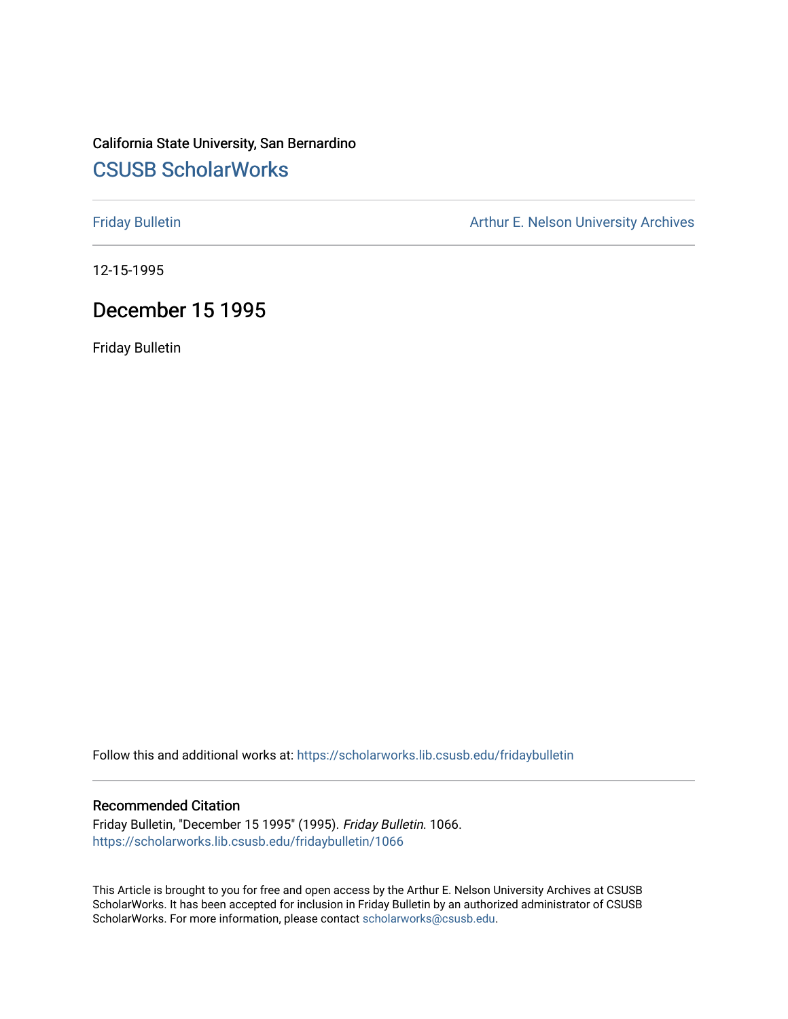## California State University, San Bernardino [CSUSB ScholarWorks](https://scholarworks.lib.csusb.edu/)

[Friday Bulletin](https://scholarworks.lib.csusb.edu/fridaybulletin) **Arthur E. Nelson University Archives** Arthur E. Nelson University Archives

12-15-1995

## December 15 1995

Friday Bulletin

Follow this and additional works at: [https://scholarworks.lib.csusb.edu/fridaybulletin](https://scholarworks.lib.csusb.edu/fridaybulletin?utm_source=scholarworks.lib.csusb.edu%2Ffridaybulletin%2F1066&utm_medium=PDF&utm_campaign=PDFCoverPages)

#### Recommended Citation

Friday Bulletin, "December 15 1995" (1995). Friday Bulletin. 1066. [https://scholarworks.lib.csusb.edu/fridaybulletin/1066](https://scholarworks.lib.csusb.edu/fridaybulletin/1066?utm_source=scholarworks.lib.csusb.edu%2Ffridaybulletin%2F1066&utm_medium=PDF&utm_campaign=PDFCoverPages) 

This Article is brought to you for free and open access by the Arthur E. Nelson University Archives at CSUSB ScholarWorks. It has been accepted for inclusion in Friday Bulletin by an authorized administrator of CSUSB ScholarWorks. For more information, please contact [scholarworks@csusb.edu.](mailto:scholarworks@csusb.edu)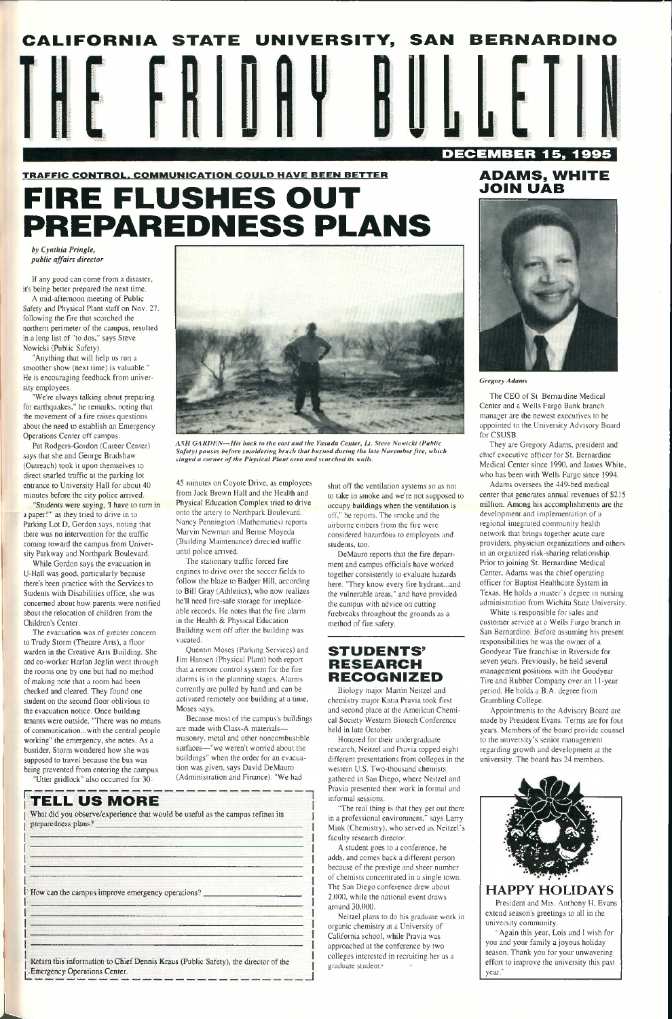# TRAFFIC CONTROL. COMMUNICATION COULD HAVE BEEN BETTER **FIRE FLUSHES OUT PREPAREDNESS PLANS**

*by Cynthia Pringle, public affairs director* 

If any good can come from a disaster, it's being better prepared the next time.

A mid-aftemoon meeting of Public Safety and Physical Plant staff on Nov. 27. following the fire that scorched the northern perimeter of the campus, resulted in a long list of "to dos," says Steve Nowicki (Public Safety).

Pat Rodgers-Gordon (Caieer Center) says that she and George Bradshaw (Outreach) took it upon themselves to direct snarled traffic at the parking lot entrance to University Hall for about 40 minutes before the city police arrived.

"Anything that will help us run a smoother show (next time) is valuable." He is encouraging feedback from university employees.

"We're always talking about prepaiing for earthquakes." he remarks, noting that the movement of a fire raises questions about the need to establish an Emergency Operations Center off campus.

"Students were saying, 'I have to turn in a paper!"" as they tried to drive in to Parking Lot D, Gordon says, noting that there was no intervention for the traffic coming toward the campus from University Parkway and Northpark Boulevard.

While Gordon says the evacuation in U-Hall was good, particularly because there's been practice with the Services to Students with Disabilities office, she was concerned about how parents were notified about the relocation of children from the Children's Center.

The evacuation was of greater concern to Trudy Storm (Theatre Arts), a floor warden in the Creative Arts Building. She and co-worker Harlan Jeglin went through the rooms one by one but had no method of making note that a room had been checked and cleared. They found one student on the second floor oblivious to the evacuation notice. Once building tenants were outside, "There was no means of communication...with the central people working" the emergency, she notes. As a busrider, Storm wondered how she was supposed to travel because the bus was

shut off the ventilation systems so as not to take in smoke and we're not supposed to occupy buildings when the ventilation is off," he reports. The smoke and the airborne embers from the fire were considered hazardous to employees and .students, too.

DeMauro reports that the fire department and campus officials have worked together consistently to evaluate hazards here. "They know every fire hydrant...and the vulnerable areas," and have provided the campus with advice on cutting firebreaks throughout the grounds as a method of fire safety.

being prevented from entering the campus. "Utter gridlock" also occurred for 30-

Return this information to Chief Dennis Kraus (Public Safety), the director of the ^Emergency Operations Center.



*ASH GARDKN—His hack to the east and the Yasuda Center, /J. Steve Nowicki (Public Safety) pauses before smoldering brush that burned during the late November fire, which singed a corner of the Physical Plant area and scorched its walls.* 

western U.S. Two-thousand chemists gathered in San Diego, where Neitzel and Pravia presented their work in formal and informal sessions.

A student goes to a conference, he adds, and comes back a different person because of the prestige and sheer number of chemists concentrated in a single town. The San Diego conference drew about 2.()()(). while the national event draws around 30,000.

45 minutes on Coyote Drive, as employees from Jack Brown Hall and the Health and Physical Education Complex tried to drive onto the artery to Northpark Boulevard. Nancy Pennington (Mathematics) reports Marvin Newman and Bernie Moyeda (Building Maintenance) directed traffic until police arrived.



The CEO of St. Bemardine Medical Center and a Wells Fargo Bank branch manager are the newest executives to be appointed to the University Advisory Board for CSUSB.

The stationary traffic forced fire engines to drive over the soccer fields to follow the blaze to Badger Hill, according to Bill Gray (Athletics), who now realizes he'll need fire-safe storage for irreplaceable records. He notes that the fire alarm in the Health & Physical Education Building went off after the building was vacated.

Quentin Moses (Parking Services) and Jim Hansen (Physical Plant) both report that a remote control system for the fire alarms is in the planning stages. Alarms cun'ently are pulled by hand and can be activated remotely one building at a time, Moses says.

White is responsible for sales and customer service at a Weils Fargo branch in San Bernardino. Before assuming his present responsibilities he was the owner of a Goodyear Tire franchise in Riverside for seven years. Previously, he held several management positions with the Goodyear Tire and Rubber Company over an 11-year period. He holds a B.A. degree from Grambling College.

Because most of the campus's buildings are made with Class-A materials masonry, metal and other noncombustible surfaces—"we weren't worried about the buildings" when the order for an evacua-

tion was given, says David DeMauro (Administration and Finance). "We had

## **II TELL US MORE**

### **STUDENTS' RESEARCH RECOGNIZED**

Biology major Martin Neitzel and chemistry major Katia Pravia took first and second place at the American Chemical Society Western Biotech Conference held in late October.

Honored for their undergraduate research, Neitzel and Pravia topped eight different presentations from colleges in the

"The real thing is that they get out there in a professional environment," says Larry Mink (Chemistry), who served as Neitzel's faculty research director.

Neitzel plans to do his graduate work in organic chemistry at a University of California school, while Pravia was approached at the conference by two colleges interested in recruiting her as a graduate student.'



**L** 

What did you observe/experience that would be useful as the campus refines its preparedness plans?

How can the campus improve emergency operations?

## **ADAMS, WHITE JOIN UAB**



*Gregory Adams* 

They are Gregory Adams, president and chief executive officer for St. Bemardine Medical Center since 1990, and James White, who has been with Wells Fargo since 1994.

Adams oversees the 449-bed medical center that generates annual revenues of \$215 million. Among his accomplishments are the development and implementation of a regional integrated community health network that brings together acute care providers, physician organizations and others in an organized risk-sharing relationship. Prior to joining St. Bernardine Medical Center, Adams was the chief operating officer for Baptist Healthcare System in Texas. He holds a master's degree in nursing administration from Wichita State University.

Appointments to the Advisory Board are made by President Evans. Terras are for four years. Members of the board provide counsel to the university's senior management regarding growth and development at the university. The board has 24 members.

## **HAPPY HOLIDAYS**

President and Mrs. Anthony H. Evans extend season's greetings to all in the university community.

"Again this year, Lois and 1 wish for you and your family a joyous holiday season. Thank you for your unwavering effort to improve the university this past year."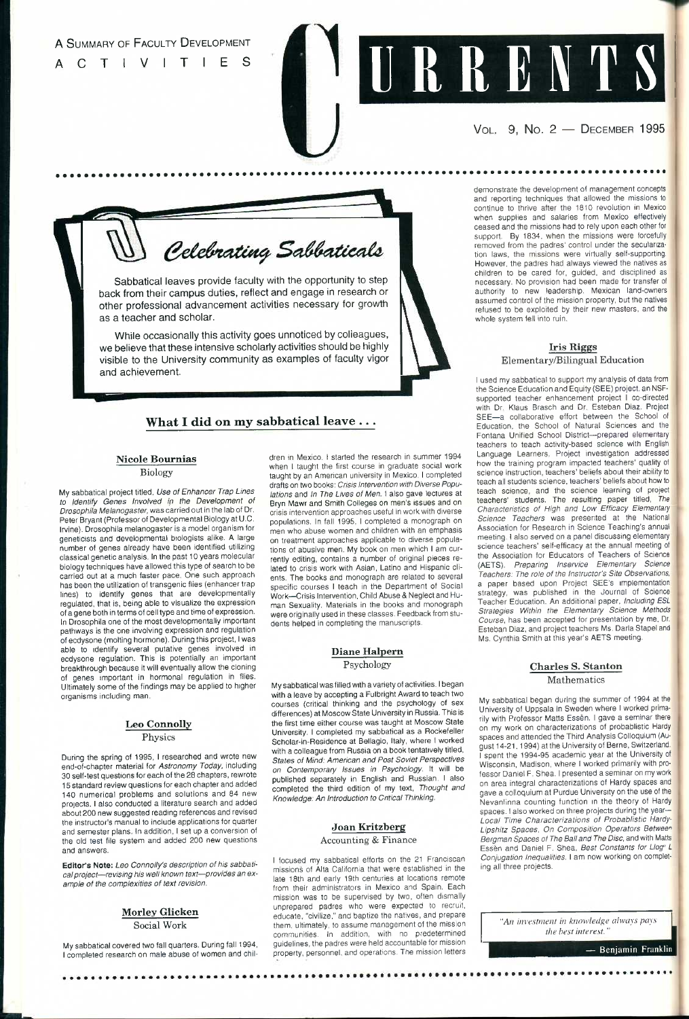

## A SUMMARY OF FACULTY DEVELOPMENT CTIVITIES

Sabbatical leaves provide faculty with the opportunity to step back from their campus duties, reflect and engage in research or other professional advancement activities necessary for growth as a teacher and scholar.

While occasionally this activity goes unnoticed by colieagues, we believe that these intensive scholarly activities should be highly visible to the University community as examples of faculty vigor and achievement.

## **What I did on my sabbatical leave .. .**

## **Nicole Bournias**

Biology

My sabbatical project titled, *Use of Enhancer Trap Lines to Identify Genes Involved ip the Development of Drosophila Melanogaster.* was carried out in the lab of Dr. Peter Bryant (Professor of Developmental Biology at U.C. Irvine). Drosophila melanogaster is a model organism for geneticists and developmental biologists alike. A large number of genes already have been identified utilizing classical genetic analysis. In the past 10 years molecular biology techniques have allowed this type of search to be carried out at a much faster pace. One such approach has been the utilization of transgenic flies (enhancer trap lines) to identify genes that are developmentally regulated, that is, being able to visualize the expression of a gene both in terms of cell type and time of expression, in Drosophila one of the most developmentally important pathways is the one involving expression and regulation of ecdysone (molting hormone). During this project, I was able to identify several putative genes involved in ecdysone regulation. This is potentially an important breakthrough because it will eventually allow the cloning of genes important in hormonal regulation in flies. Ultimately some of the findings may be applied to higher organisms including man.

#### **Leo Connolly**

Physics

During the spring of 1995, I researched and wrote new

end-of-chapter material for *Astronomy Today,* including 30 self-test questions for each of the 28 chapters, rewrote 15 standard review questions for each chapter and added 140 numerical problems and solutions and 84 new projects. I also conducted a literature search and added about 200 new suggested reading references and revised the instructor's manual to include applications for quarter and semester plans. In addition, I set up a conversion of the old test file system and added 200 new questions and answers.

**Editor's Note:** *Leo Connolly's description of his sabbatical project—revising his well known text—provides an example of the complexities of text revision.* 

#### **Morley Glicken**  Social Work

My sabbatical covered two fall quarters. During fall 1994, I completed research on male abuse of women and chil-

dren in Mexico, I started the research in summer 1994 when I taught the first course in graduate social work taught by an American university in Mexico. I completed drafts on two books: *Crisis Intervention with Diverse Populations* and *In The Lives of* Men. I also gave lectures at Bryn Mawr and Smith Colleges on men's issues and on crisis intervention approaches useful in work with diverse populations. In fall 1995, I completed a monograph on men who abuse women and children with an emphasis on treatment approaches applicable to diverse populations of abusive men. My book on men which I am currently editing, contains a number of original pieces related to crisis work with Asian. Latino and Hispanic clients. The books and monograph are related to several specific courses I teach in the Department of Social Work—Crisis Intervention, Child Abuse & Neglect and Human Sexuality. Materials in the books and monograph were originally used in these classes. Feedback from students helped in completing the manuscripts,

## **Diane Halpern**

Psychology

I used my sabbatical to support my analysis of data from the Science Education and Equity (SEE) project, an NSFsupported teacher enhancement project I co-directed with Dr. Klaus Brasch and Dr. Esteban Diaz, Project SEE—a collaborative effort between the School of Education, the School of Natural Sciences and the Fontana Unified School District—prepared elementary teachers to teach activity-based science with English Language Learners. Project investigation addressed how the training program impacted teachers' quality of science instruction, teachers' beliefs about their ability to teach all students science, teachers' beliefs about how to teach science, and the science learning of project teachers' students. The resulting paper titled. *The Characteristics of High and Low Efficacy Elementary Science Teachers* was presented at the National Association for Research in Science Teaching's annua! meeting. I also served on a panel discussing elementary science teachers' self-efficacy at the annual meeting of the Association for Educators of Teachers of Science (AETS). *Preparing Inservice Elementary Science Teachers: The role of the Instructor's Site Observations.*  a paper based upon Project SEE's implementation strategy, was published in the Journal of Science Teacher Education. An additional paper. *Including ESL*  Strategies Within the Elementary Science Methods *Course,* has been accepted for presentation by me. Dr. Esteban Diaz, and project teachers Ms, Daria Stapel and Ms, Cynthia Smith at this year's AETS meeting.

My sabbatical was filled with a variety of activities. I began with a leave by accepting a Fulbright Award to teach two courses (critical thinking and the psychology of sex differences) at Moscow State University in Russia. This is the first time either course was taught at Moscow State University, I completed my sabbatical as a Rockefeller Scholar-in-Residence at Bellagio, Italy, where I worked with a colleague from Russia on a book tentatively titled. *States of* M/nd; *American and Post Soviet Perspectives on Contemporary Issues in Psychology.* It will be published separately in English and Russian, I also completed the third edition of my text. *Thought and Knowledge: An Introduction to Cntical Thinking.* 

#### **Joan Kritzberg**

#### Accounting & Finance

I focused my sabbatical efforts on the 21 Franciscan missions of Alta California that were established in the late 18th and early 19th centuries at locations remote from their administrators in Mexico and Spain. Each mission was to be supervised by two, often dismally unprepared padres who were expected to recruit, educate, "civilize," and baptize the natives, and prepare them, ultimately, to assume management of the mission communities. In addition, with no predetermined guidelines, the padres were held accountable for mission property, personnel, and operations. The mission letters

..........

VOL. **9, No. 2 —** DECEMBER **1995** 

Celebrating Sabbaticals

demonstrate the development of management concepts and reporting techniques that allowed the missions to continue to thrive after the 1810 revolution in Mexico when supplies and salaries from Mexico effectively ceased and the missions had to rely upon each other for support. By 1834, when the missions were forcefully removed from the padres' control under the secularization laws, the missions were virtually self-supporting. However, the padres had always viewed the natives as children to be cared for, guided, and disciplined as necessary. No provision had been made for transfer of authority to new leadership, Mexican land-owners assumed control of the mission property, but the natives refused to be exploited by their new masters, and the whole system fell into ruin.

#### **Iris Riggs**  Elementary/Bilingual Education

#### **Charles S. Stanton**

Mathematics

My sabbatical began during the summer of 1994 at the University of Uppsala in Sweden where I worked primarily with Professor Matts Essen. I gave a seminar there on my work on characterizations of probablistic Hardy spaces and attended the Third Analysis Colloquium (August 14-21,1994) at the University of Berne, Switzerland. I spent the 1994-95 academic year at the University of Wisconsin, Madison, where I worked primarily with professor Daniel F. Shea, I presented a seminar on my work on area integral characterizations of Hardy spaces and gave a colloquium at Purdue University on the use of the Nevanlinna counting function in the theory of Hardy spaces. I also worked on three projects during the year-*Local Time Characterizations of Probablistic Hardy-Lipshitz Spaces. On Composition Operators Betwee^^ Bergman Spaces of The Ball and The Disc,* and with Matts Essen and Daniel F. Shea, *Best Constants for Llog<sup>«</sup> L Conjugation Inequalities.* I am now working on completing all three projects.

> *"An investment in knowledge always pays the best interest."*

#### — Benjamin Franklin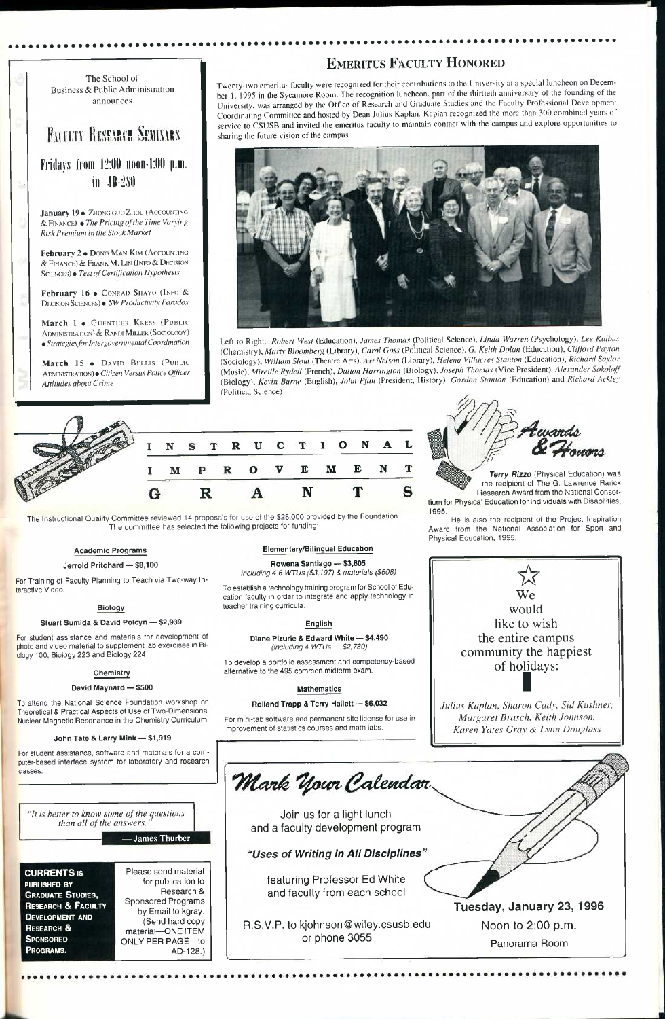#### The School of Business & Public Administration announces

## **FACULTY RESEARCH SEMINARS**

**Friilavs lioiii 12:1111 noon-1:1111 p.ni. in .ll!-2MI** 

January 19 · ZHONG GUO ZHOU (ACCOUNTING & FINANCK) • *The Priciii,^ of the Time Vanin}> Risk Premium in the Stock Market* 

**February 16 •** CONRAD SHAYO (INFO & DECISION SCIENCES) • *SW Productivity Paradox* 

March 1 · GUENTHER KRESS (PUBLIC ADMINISTRATION) & RANDI MILLER (SOCIOLOGY) *9 Strategiesfor Intergovernmental Coordination* 

**February** 2 • DONG MAN KJM (ACCOUNTING & FINANCE) & FRANK M. LIN (INFO & DHCISION SCIENCES)\* *Test of Certification Hypothesis* 

**March 15 •** DAVID BELLIS (PUBLIC ADMINISTRATION) • *Citizen Versus Police Officer Attitudes about Crime* 

## EMERITUS FACULTY HONORED

Twenty-two emeritus faculty were recognized for their contributions to the University at a special luncheon on December 1. 1995 in the Sycamore Room. The recognition luncheon, part of the thirtieth anniversary of the founding of the University, was arranged by the Office of Research and Graduate Studies and the Faculty Professional Development Coordinating Committee and hosted by Dean Julius Kaplan. Kaplan recognized the tnore than 300 combined years of service to CSUSB and invited the emeritus faculty to maintain contact with the campus and explore opportunities to sharing the future vision of the campus.



Left to Right: *Robert West* (Education). *James Thomas* (Political Science), *Linda Warren* (Psychology), *Lee Kalbus*  (Chemistry), *Marty Bloomberg* (Library), *Carol Goss* (Political Science), G. *Keith Dolan* (Education), *Clifford Payton*  (Sociology), *William Shut* (Theatre Arts). *Nelson* (Library), *Helena Villacres Stanton* (Education), *Richard Saylor*  (Music), *Mireille Rydell* (French), *Dalton Harrington* (Biology). *Joseph Thomas* (Vice President). *Alexander Sokoloff*  (Biology), *Kevin Burne* (English), *John Pfau* (President, History), *Gordon Stanton* (Education) and *Richard Ackley*  (Political Science)

> **Terry Rizzo** (Physical Education) was the recipient of The G. Lawrence Rarick Research Award from the National Consortium for Physical Education for Individuals with Disabilities, 1995.



The Instructional Quality Committee reviewed 14 proposals for use of the \$28,000 provided by the Foundation. The committee has selected the following projects for funding:

> Join us for a light lunch and a faculty development program

#### **Academic Programs**

featuring Professor *E6* White and faculty from each school

**Jerrold Pritchard — \$8,100** 

For Training of Faculty Planning to Teach via Two-way Interactive Video.

#### **Biology**

#### **Stuart Sumida & David Polcyn — \$2,939**

For student assistance and materials for development of photo and video material to supplement lab exercises in Biology 100, Biology 223 and Biology 224.

#### **Chemistry**

#### **David Maynard — \$500**

To attend the National Science Foundation workshop on Theoretical & Practical Aspects of Use of Two-Dimensional Nuclear Magnetic Resonance in the Chemistry Curriculum.

#### **John Tate & Larry Mink — \$1,919**

For student assistance, software and materials for a com-

| puter-based interface system for laboratory and research |  |  |  |
|----------------------------------------------------------|--|--|--|
| classes.                                                 |  |  |  |

#### **Elementary/Bilingual Education**

**Rowena Santiago — \$3,805**  *including 4.6 WTUs (\$3.197) & materials (\$608)* 

To establish a technology training program for School of Education faculty in order to integrate and apply technology in teacher training curricula,

#### **English**

**Diane Pizurie & Edward White — \$4,490**  *(including 4 WTUs — \$2,780)* 

To develop a portfolio assessment and competency-based alternative to the 495 common midterm exam.

#### **Mathematics**

#### **Rolland Trapp & Terry Hallett — \$6,032**

For mini-tab software and permanent site license for use in improvement of statistics courses and math labs.



He is also the recipient of the Project Inspiration Award from the National Association for Sport and Physical Education, 1995.



*Julius Kaplan, Sharon Cady, Sid Kushner, Margaret Brasch, Keith Johnson, Karen Yates Gray & Lynn Douglass* 

| "It is better to know some of the questions"<br>than all of the answers.                                                                                                            | $-$ James Thurber                                                                                                                                                                          |  |  |  |
|-------------------------------------------------------------------------------------------------------------------------------------------------------------------------------------|--------------------------------------------------------------------------------------------------------------------------------------------------------------------------------------------|--|--|--|
| <b>CURRENTS IS</b><br>PUBLISHED BY<br><b>GRADUATE STUDIES,</b><br><b>RESEARCH &amp; FACULTY</b><br><b>DEVELOPMENT AND</b><br><b>RESEARCH &amp;</b><br><b>SPONSORED</b><br>PROGRAMS. | Please send material<br>for publication to<br>Research &<br><b>Sponsored Programs</b><br>by Email to kgray.<br>(Send hard copy<br>material-ONE ITEM<br><b>ONLY PER PAGE-to</b><br>AD-128.) |  |  |  |

Mark Your Calendar

*'Uses of Writing in AH Discipiines* 

R.S.V.P. to kjohnson@wiley.csusb.edu or phone 3055

**Tuesday, January 23,1996** 

Noon to 2:00 p.m.

Panorama Room